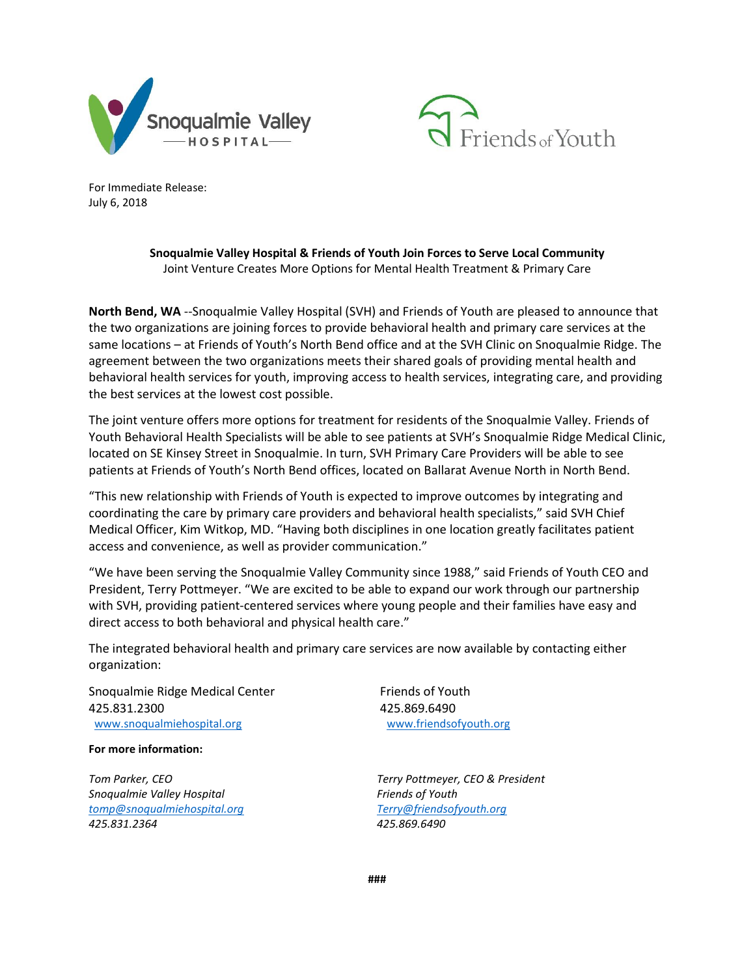



For Immediate Release: July 6, 2018

> **Snoqualmie Valley Hospital & Friends of Youth Join Forces to Serve Local Community** Joint Venture Creates More Options for Mental Health Treatment & Primary Care

**North Bend, WA** --Snoqualmie Valley Hospital (SVH) and Friends of Youth are pleased to announce that the two organizations are joining forces to provide behavioral health and primary care services at the same locations – at Friends of Youth's North Bend office and at the SVH Clinic on Snoqualmie Ridge. The agreement between the two organizations meets their shared goals of providing mental health and behavioral health services for youth, improving access to health services, integrating care, and providing the best services at the lowest cost possible.

The joint venture offers more options for treatment for residents of the Snoqualmie Valley. Friends of Youth Behavioral Health Specialists will be able to see patients at SVH's Snoqualmie Ridge Medical Clinic, located on SE Kinsey Street in Snoqualmie. In turn, SVH Primary Care Providers will be able to see patients at Friends of Youth's North Bend offices, located on Ballarat Avenue North in North Bend.

"This new relationship with Friends of Youth is expected to improve outcomes by integrating and coordinating the care by primary care providers and behavioral health specialists," said SVH Chief Medical Officer, Kim Witkop, MD. "Having both disciplines in one location greatly facilitates patient access and convenience, as well as provider communication."

"We have been serving the Snoqualmie Valley Community since 1988," said Friends of Youth CEO and President, Terry Pottmeyer. "We are excited to be able to expand our work through our partnership with SVH, providing patient-centered services where young people and their families have easy and direct access to both behavioral and physical health care."

The integrated behavioral health and primary care services are now available by contacting either organization:

Snoqualmie Ridge Medical Center 425.831.2300 [www.snoqualmiehospital.org](http://www.snoqualmiehospital.org/) [www.friendsofyouth.org](http://www.friendsofyouth.org/)

**For more information:**

*Tom Parker, CEO Snoqualmie Valley Hospital [tomp@snoqualmiehospital.org](mailto:tomp@snoqualmiehospital.org) 425.831.2364*

Friends of Youth 425.869.6490

*Terry Pottmeyer, CEO & President Friends of Youth [Terry@](mailto:tomp@snoqualmiehospital.org)friendsofyouth.org 425.869.6490*